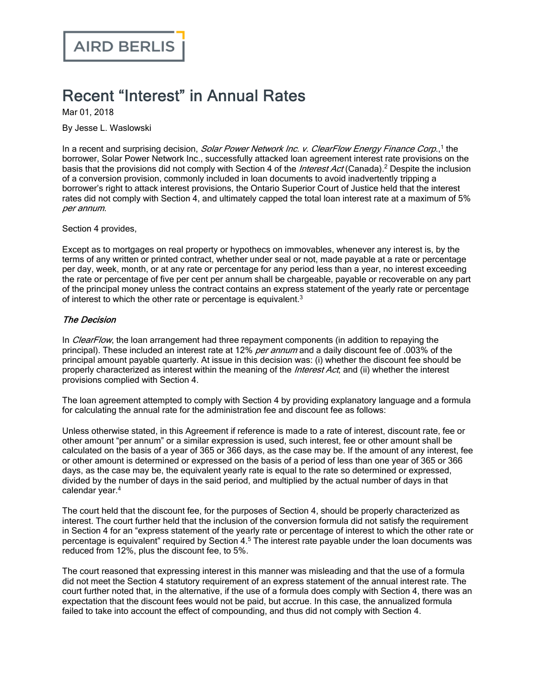## Recent "Interest" in Annual Rates

Mar 01, 2018

By Jesse L. Waslowski

In a recent and surprising decision, Solar Power Network Inc. v. ClearFlow Energy Finance Corp.,<sup>1</sup> the borrower, Solar Power Network Inc., successfully attacked loan agreement interest rate provisions on the basis that the provisions did not comply with Section 4 of the *Interest Act* (Canada).<sup>2</sup> Despite the inclusion of a conversion provision, commonly included in loan documents to avoid inadvertently tripping a borrower's right to attack interest provisions, the Ontario Superior Court of Justice held that the interest rates did not comply with Section 4, and ultimately capped the total loan interest rate at a maximum of 5% per annum.

Section 4 provides,

Except as to mortgages on real property or hypothecs on immovables, whenever any interest is, by the terms of any written or printed contract, whether under seal or not, made payable at a rate or percentage per day, week, month, or at any rate or percentage for any period less than a year, no interest exceeding the rate or percentage of five per cent per annum shall be chargeable, payable or recoverable on any part of the principal money unless the contract contains an express statement of the yearly rate or percentage of interest to which the other rate or percentage is equivalent.<sup>3</sup>

## The Decision

In *ClearFlow*, the loan arrangement had three repayment components (in addition to repaying the principal). These included an interest rate at 12% *per annum* and a daily discount fee of .003% of the principal amount payable quarterly. At issue in this decision was: (i) whether the discount fee should be properly characterized as interest within the meaning of the *Interest Act*; and (ii) whether the interest provisions complied with Section 4.

The loan agreement attempted to comply with Section 4 by providing explanatory language and a formula for calculating the annual rate for the administration fee and discount fee as follows:

Unless otherwise stated, in this Agreement if reference is made to a rate of interest, discount rate, fee or other amount "per annum" or a similar expression is used, such interest, fee or other amount shall be calculated on the basis of a year of 365 or 366 days, as the case may be. If the amount of any interest, fee or other amount is determined or expressed on the basis of a period of less than one year of 365 or 366 days, as the case may be, the equivalent yearly rate is equal to the rate so determined or expressed, divided by the number of days in the said period, and multiplied by the actual number of days in that calendar year.<sup>4</sup>

The court held that the discount fee, for the purposes of Section 4, should be properly characterized as interest. The court further held that the inclusion of the conversion formula did not satisfy the requirement in Section 4 for an "express statement of the yearly rate or percentage of interest to which the other rate or percentage is equivalent" required by Section 4.<sup>5</sup> The interest rate payable under the loan documents was reduced from 12%, plus the discount fee, to 5%.

The court reasoned that expressing interest in this manner was misleading and that the use of a formula did not meet the Section 4 statutory requirement of an express statement of the annual interest rate. The court further noted that, in the alternative, if the use of a formula does comply with Section 4, there was an expectation that the discount fees would not be paid, but accrue. In this case, the annualized formula failed to take into account the effect of compounding, and thus did not comply with Section 4.